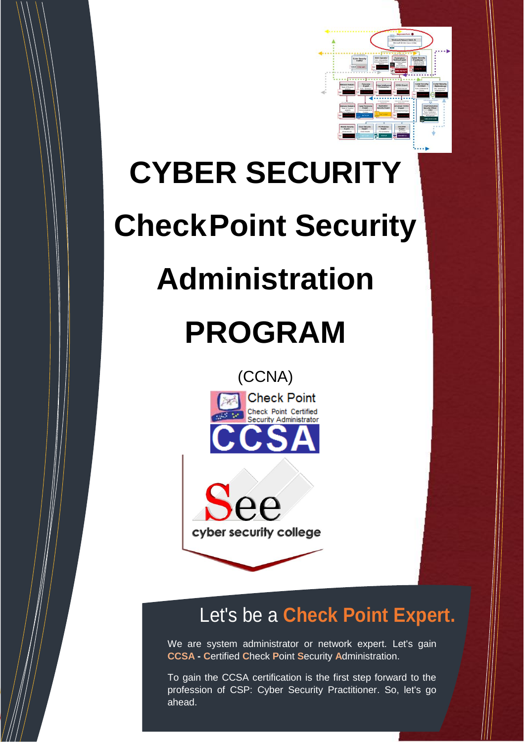

# **CYBER SECURITY**

# **CheckPoint Security**

### **Administration**

## **PROGRAM**





### Let's be a **Check Point Expert.**

We are system administrator or network expert. Let's gain **CCSA - C**ertified **C**heck **P**oint **S**ecurity **A**dministration.

To gain the CCSA certification is the first step forward to the profession of CSP: Cyber Security Practitioner. So, let's go ahead.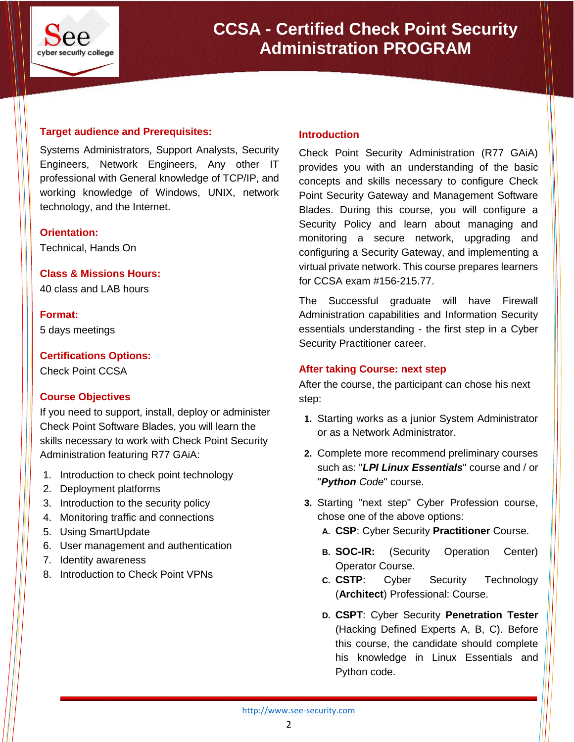

**CCSA - Certified Check Point Security Administration PROGRAM**

#### **Target audience and Prerequisites:**

Systems Administrators, Support Analysts, Security Engineers, Network Engineers, Any other IT professional with General knowledge of TCP/IP, and working knowledge of Windows, UNIX, network technology, and the Internet.

#### **Orientation:**

Technical, Hands On

**Class & Missions Hours:**

40 class and LAB hours

**Format:**

5 days meetings

**Certifications Options:**

Check Point CCSA

#### **Course Objectives**

If you need to support, install, deploy or administer Check Point Software Blades, you will learn the skills necessary to work with Check Point Security Administration featuring R77 GAiA:

- 1. Introduction to check point technology
- 2. Deployment platforms
- 3. Introduction to the security policy
- 4. Monitoring traffic and connections
- 5. Using SmartUpdate
- 6. User management and authentication
- 7. Identity awareness
- 8. Introduction to Check Point VPNs

#### **Introduction**

Check Point Security Administration (R77 GAiA) provides you with an understanding of the basic concepts and skills necessary to configure Check Point Security Gateway and Management Software Blades. During this course, you will configure a Security Policy and learn about managing and monitoring a secure network, upgrading and configuring a Security Gateway, and implementing a virtual private network. This course prepares learners for CCSA exam #156-215.77.

The Successful graduate will have Firewall Administration capabilities and Information Security essentials understanding - the first step in a Cyber Security Practitioner career.

#### **After taking Course: next step**

After the course, the participant can chose his next step:

- **1.** Starting works as a junior System Administrator or as a Network Administrator.
- **2.** Complete more recommend preliminary courses such as: "*LPI Linux Essentials*" course and / or "*Python Code*" course.
- **3.** Starting "next step" Cyber Profession course, chose one of the above options:
	- **A. CSP**: Cyber Security **Practitioner** Course.
	- **B. SOC-IR:** (Security Operation Center) Operator Course.
	- **C. CSTP**: Cyber Security Technology (**Architect**) Professional: Course.
	- **D. CSPT**: Cyber Security **Penetration Tester** (Hacking Defined Experts A, B, C). Before this course, the candidate should complete his knowledge in Linux Essentials and Python code.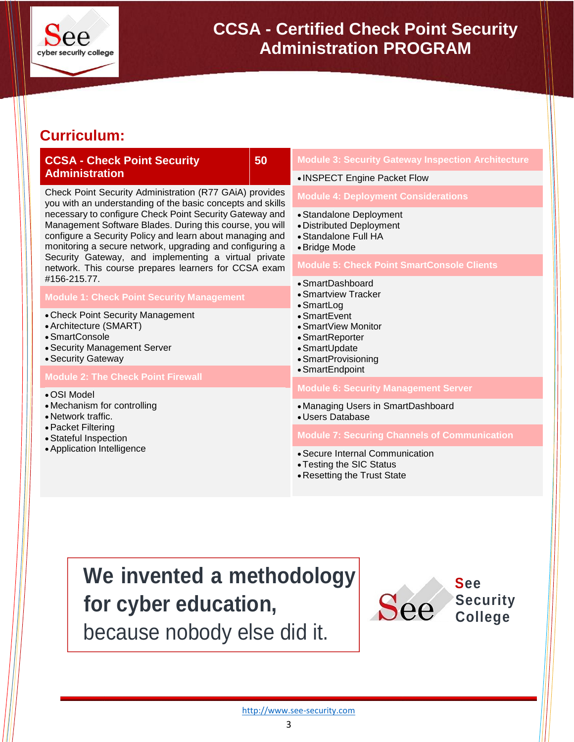

#### **Curriculum:**

| <b>CCSA - Check Point Security</b><br><b>Administration</b>                                                                                                                                                                                                                                                                                                                                                                                                                                                                                              | 50 | <b>Module 3: Security Gateway Inspection Architecture</b>                                              |  |
|----------------------------------------------------------------------------------------------------------------------------------------------------------------------------------------------------------------------------------------------------------------------------------------------------------------------------------------------------------------------------------------------------------------------------------------------------------------------------------------------------------------------------------------------------------|----|--------------------------------------------------------------------------------------------------------|--|
|                                                                                                                                                                                                                                                                                                                                                                                                                                                                                                                                                          |    | • INSPECT Engine Packet Flow                                                                           |  |
| Check Point Security Administration (R77 GAiA) provides<br>you with an understanding of the basic concepts and skills<br>necessary to configure Check Point Security Gateway and<br>Management Software Blades. During this course, you will<br>configure a Security Policy and learn about managing and<br>monitoring a secure network, upgrading and configuring a<br>Security Gateway, and implementing a virtual private<br>network. This course prepares learners for CCSA exam<br>#156-215.77.<br><b>Module 1: Check Point Security Management</b> |    | <b>Module 4: Deployment Considerations</b>                                                             |  |
|                                                                                                                                                                                                                                                                                                                                                                                                                                                                                                                                                          |    | • Standalone Deployment<br>• Distributed Deployment<br>• Standalone Full HA<br>• Bridge Mode           |  |
|                                                                                                                                                                                                                                                                                                                                                                                                                                                                                                                                                          |    | <b>Module 5: Check Point SmartConsole Clients</b>                                                      |  |
|                                                                                                                                                                                                                                                                                                                                                                                                                                                                                                                                                          |    | • SmartDashboard                                                                                       |  |
|                                                                                                                                                                                                                                                                                                                                                                                                                                                                                                                                                          |    | • Smartview Tracker<br>• SmartLog                                                                      |  |
| • Check Point Security Management<br>• Architecture (SMART)<br>• SmartConsole<br>• Security Management Server<br>• Security Gateway                                                                                                                                                                                                                                                                                                                                                                                                                      |    | $\bullet$ SmartEvent<br>• SmartView Monitor<br>• SmartReporter<br>• SmartUpdate<br>• SmartProvisioning |  |
| <b>Module 2: The Check Point Firewall</b>                                                                                                                                                                                                                                                                                                                                                                                                                                                                                                                |    | • SmartEndpoint                                                                                        |  |
| • OSI Model                                                                                                                                                                                                                                                                                                                                                                                                                                                                                                                                              |    | <b>Module 6: Security Management Server</b>                                                            |  |
| • Mechanism for controlling<br>• Network traffic.<br>• Packet Filtering<br>• Stateful Inspection<br>• Application Intelligence                                                                                                                                                                                                                                                                                                                                                                                                                           |    | • Managing Users in SmartDashboard<br>• Users Database                                                 |  |
|                                                                                                                                                                                                                                                                                                                                                                                                                                                                                                                                                          |    | <b>Module 7: Securing Channels of Communication</b>                                                    |  |
|                                                                                                                                                                                                                                                                                                                                                                                                                                                                                                                                                          |    | • Secure Internal Communication<br>• Testing the SIC Status<br>• Resetting the Trust State             |  |

### **We invented a methodology for cyber education,**

because nobody else did it.



**College**